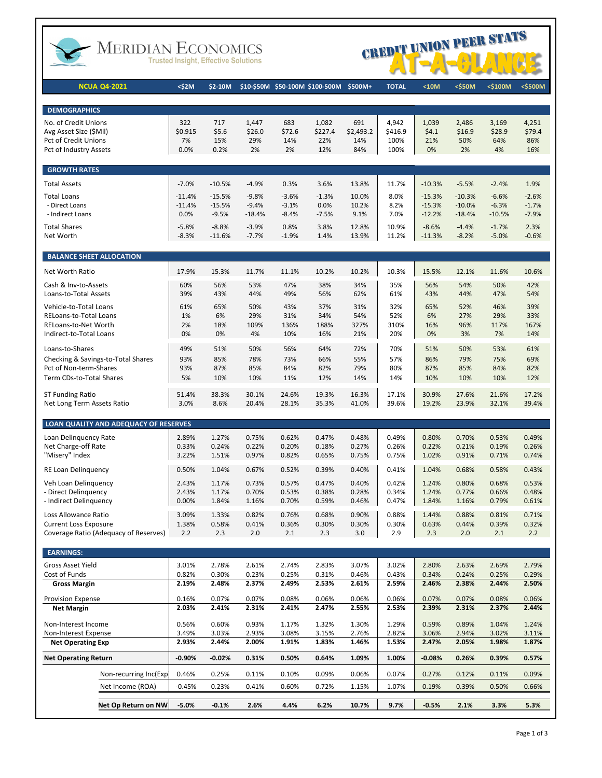

# MERIDIAN ECONOMICS



| <b>NCUA Q4-2021</b>                                                   | <\$2M                | \$2-10M              |                    | \$10-\$50M \$50-100M \$100-500M |                 | \$500M+          | <b>TOTAL</b>    | $10M$                | <\$50M               | <\$100M            | <\$500M            |
|-----------------------------------------------------------------------|----------------------|----------------------|--------------------|---------------------------------|-----------------|------------------|-----------------|----------------------|----------------------|--------------------|--------------------|
|                                                                       |                      |                      |                    |                                 |                 |                  |                 |                      |                      |                    |                    |
| <b>DEMOGRAPHICS</b>                                                   |                      |                      |                    |                                 |                 |                  |                 |                      |                      |                    |                    |
| No. of Credit Unions<br>Avg Asset Size (\$Mil)                        | 322<br>\$0.915       | 717                  | 1,447              | 683                             | 1,082           | 691              | 4,942           | 1,039                | 2,486                | 3,169              | 4,251              |
| Pct of Credit Unions                                                  | 7%                   | \$5.6<br>15%         | \$26.0<br>29%      | \$72.6<br>14%                   | \$227.4<br>22%  | \$2,493.2<br>14% | \$416.9<br>100% | \$4.1<br>21%         | \$16.9<br>50%        | \$28.9<br>64%      | \$79.4<br>86%      |
| Pct of Industry Assets                                                | 0.0%                 | 0.2%                 | 2%                 | 2%                              | 12%             | 84%              | 100%            | 0%                   | 2%                   | 4%                 | 16%                |
|                                                                       |                      |                      |                    |                                 |                 |                  |                 |                      |                      |                    |                    |
| <b>GROWTH RATES</b><br><b>Total Assets</b>                            | $-7.0%$              | $-10.5%$             | $-4.9%$            | 0.3%                            | 3.6%            | 13.8%            | 11.7%           | $-10.3%$             | $-5.5%$              | $-2.4%$            | 1.9%               |
|                                                                       |                      |                      |                    |                                 |                 |                  |                 |                      |                      |                    |                    |
| <b>Total Loans</b><br>- Direct Loans                                  | $-11.4%$<br>$-11.4%$ | $-15.5%$<br>$-15.5%$ | $-9.8%$<br>$-9.4%$ | $-3.6%$<br>$-3.1%$              | $-1.3%$<br>0.0% | 10.0%<br>10.2%   | 8.0%<br>8.2%    | $-15.3%$<br>$-15.3%$ | $-10.3%$<br>$-10.0%$ | $-6.6%$<br>$-6.3%$ | $-2.6%$<br>$-1.7%$ |
| - Indirect Loans                                                      | 0.0%                 | $-9.5%$              | $-18.4%$           | $-8.4%$                         | $-7.5%$         | 9.1%             | 7.0%            | $-12.2%$             | $-18.4%$             | $-10.5%$           | $-7.9%$            |
| <b>Total Shares</b>                                                   | $-5.8%$              | $-8.8%$              | $-3.9%$            | 0.8%                            | 3.8%            | 12.8%            | 10.9%           | $-8.6%$              | $-4.4%$              | $-1.7%$            | 2.3%               |
| Net Worth                                                             | $-8.3%$              | $-11.6%$             | $-7.7%$            | $-1.9%$                         | 1.4%            | 13.9%            | 11.2%           | $-11.3%$             | $-8.2%$              | $-5.0%$            | $-0.6%$            |
| <b>BALANCE SHEET ALLOCATION</b>                                       |                      |                      |                    |                                 |                 |                  |                 |                      |                      |                    |                    |
| Net Worth Ratio                                                       | 17.9%                | 15.3%                | 11.7%              | 11.1%                           | 10.2%           | 10.2%            | 10.3%           | 15.5%                | 12.1%                | 11.6%              | 10.6%              |
| Cash & Inv-to-Assets                                                  | 60%                  | 56%                  | 53%                | 47%                             | 38%             | 34%              | 35%             | 56%                  | 54%                  | 50%                | 42%                |
| Loans-to-Total Assets                                                 | 39%                  | 43%                  | 44%                | 49%                             | 56%             | 62%              | 61%             | 43%                  | 44%                  | 47%                | 54%                |
| Vehicle-to-Total Loans                                                | 61%                  | 65%                  | 50%                | 43%                             | 37%             | 31%              | 32%             | 65%                  | 52%                  | 46%                | 39%                |
| RELoans-to-Total Loans                                                | 1%                   | 6%                   | 29%                | 31%                             | 34%             | 54%              | 52%             | 6%                   | 27%                  | 29%                | 33%                |
| RELoans-to-Net Worth                                                  | 2%                   | 18%                  | 109%               | 136%                            | 188%            | 327%             | 310%            | 16%                  | 96%                  | 117%               | 167%               |
| Indirect-to-Total Loans                                               | 0%                   | 0%                   | 4%                 | 10%                             | 16%             | 21%              | 20%             | 0%                   | 3%                   | 7%                 | 14%                |
| Loans-to-Shares                                                       | 49%                  | 51%                  | 50%                | 56%                             | 64%             | 72%              | 70%             | 51%                  | 50%                  | 53%                | 61%                |
| Checking & Savings-to-Total Shares                                    | 93%                  | 85%                  | 78%                | 73%                             | 66%             | 55%              | 57%             | 86%                  | 79%                  | 75%                | 69%                |
| Pct of Non-term-Shares                                                | 93%                  | 87%                  | 85%                | 84%                             | 82%             | 79%              | 80%             | 87%                  | 85%                  | 84%                | 82%                |
| Term CDs-to-Total Shares                                              | 5%                   | 10%                  | 10%                | 11%                             | 12%             | 14%              | 14%             | 10%                  | 10%                  | 10%                | 12%                |
| ST Funding Ratio                                                      | 51.4%                | 38.3%                | 30.1%              | 24.6%                           | 19.3%           | 16.3%            | 17.1%           | 30.9%                | 27.6%                | 21.6%              | 17.2%              |
| Net Long Term Assets Ratio                                            | 3.0%                 | 8.6%                 | 20.4%              | 28.1%                           | 35.3%           | 41.0%            | 39.6%           | 19.2%                | 23.9%                | 32.1%              | 39.4%              |
| LOAN QUALITY AND ADEQUACY OF RESERVES                                 |                      |                      |                    |                                 |                 |                  |                 |                      |                      |                    |                    |
| Loan Delinguency Rate                                                 | 2.89%                | 1.27%                | 0.75%              | 0.62%                           | 0.47%           | 0.48%            | 0.49%           | 0.80%                | 0.70%                | 0.53%              | 0.49%              |
| Net Charge-off Rate                                                   | 0.33%                | 0.24%                | 0.22%              | 0.20%                           | 0.18%           | 0.27%            | 0.26%           | 0.22%                | 0.21%                | 0.19%              | 0.26%              |
| "Misery" Index                                                        | 3.22%                | 1.51%                | 0.97%              | 0.82%                           | 0.65%           | 0.75%            | 0.75%           | 1.02%                | 0.91%                | 0.71%              | 0.74%              |
| RE Loan Delinquency                                                   | 0.50%                | 1.04%                | 0.67%              | 0.52%                           | 0.39%           | 0.40%            | 0.41%           | 1.04%                | 0.68%                | 0.58%              | 0.43%              |
| Veh Loan Delinguency                                                  | 2.43%                | 1.17%                | 0.73%              | 0.57%                           | 0.47%           | 0.40%            | 0.42%           | 1.24%                | 0.80%                | 0.68%              | 0.53%              |
| - Direct Delinguency                                                  | 2.43%                | 1.17%                | 0.70%              | 0.53%                           | 0.38%           | 0.28%            | 0.34%           | 1.24%                | 0.77%                | 0.66%              | 0.48%              |
| - Indirect Delinguency                                                | 0.00%                | 1.84%                | 1.16%              | 0.70%                           | 0.59%           | 0.46%            | 0.47%           | 1.84%                | 1.16%                | 0.79%              | 0.61%              |
| Loss Allowance Ratio                                                  | 3.09%                | 1.33%                | 0.82%              | 0.76%                           | 0.68%           | 0.90%            | 0.88%           | 1.44%                | 0.88%                | 0.81%              | 0.71%              |
| <b>Current Loss Exposure</b><br>Coverage Ratio (Adequacy of Reserves) | 1.38%<br>2.2         | 0.58%<br>2.3         | 0.41%<br>2.0       | 0.36%<br>2.1                    | 0.30%<br>2.3    | 0.30%<br>3.0     | 0.30%<br>2.9    | 0.63%<br>2.3         | 0.44%<br>2.0         | 0.39%<br>2.1       | 0.32%<br>2.2       |
|                                                                       |                      |                      |                    |                                 |                 |                  |                 |                      |                      |                    |                    |
| <b>EARNINGS:</b>                                                      |                      |                      |                    |                                 |                 |                  |                 |                      |                      |                    |                    |
| <b>Gross Asset Yield</b>                                              | 3.01%                | 2.78%                | 2.61%              | 2.74%                           | 2.83%           | 3.07%            | 3.02%           | 2.80%                | 2.63%                | 2.69%              | 2.79%              |
| Cost of Funds                                                         | 0.82%<br>2.19%       | 0.30%<br>2.48%       | 0.23%<br>2.37%     | 0.25%<br>2.49%                  | 0.31%<br>2.53%  | 0.46%            | 0.43%           | 0.34%                | 0.24%<br>2.38%       | 0.25%<br>2.44%     | 0.29%              |
| <b>Gross Margin</b>                                                   |                      |                      |                    |                                 |                 | 2.61%            | 2.59%           | 2.46%                |                      |                    | 2.50%              |
| <b>Provision Expense</b>                                              | 0.16%                | 0.07%                | 0.07%              | 0.08%                           | 0.06%           | 0.06%            | 0.06%           | 0.07%                | 0.07%                | 0.08%              | 0.06%              |
| <b>Net Margin</b>                                                     | 2.03%                | 2.41%                | 2.31%              | 2.41%                           | 2.47%           | 2.55%            | 2.53%           | 2.39%                | 2.31%                | 2.37%              | 2.44%              |
| Non-Interest Income                                                   | 0.56%                | 0.60%                | 0.93%              | 1.17%                           | 1.32%           | 1.30%            | 1.29%           | 0.59%                | 0.89%                | 1.04%              | 1.24%              |
| Non-Interest Expense                                                  | 3.49%                | 3.03%                | 2.93%              | 3.08%                           | 3.15%           | 2.76%            | 2.82%           | 3.06%                | 2.94%                | 3.02%              | 3.11%              |
| <b>Net Operating Exp</b>                                              | 2.93%                | 2.44%                | 2.00%              | 1.91%                           | 1.83%           | 1.46%            | 1.53%           | 2.47%                | 2.05%                | 1.98%              | 1.87%              |
| <b>Net Operating Return</b>                                           | $-0.90%$             | $-0.02\%$            | 0.31%              | 0.50%                           | 0.64%           | 1.09%            | 1.00%           | $-0.08%$             | 0.26%                | 0.39%              | 0.57%              |
| Non-recurring Inc(Exp)                                                | 0.46%                | 0.25%                | 0.11%              | 0.10%                           | 0.09%           | 0.06%            | 0.07%           | 0.27%                | 0.12%                | 0.11%              | 0.09%              |
| Net Income (ROA)                                                      | $-0.45%$             | 0.23%                | 0.41%              | 0.60%                           | 0.72%           | 1.15%            | 1.07%           | 0.19%                | 0.39%                | 0.50%              | 0.66%              |
| Net Op Return on NW                                                   | $-5.0%$              | $-0.1%$              | 2.6%               | 4.4%                            | 6.2%            | 10.7%            | 9.7%            | $-0.5%$              | 2.1%                 | 3.3%               | 5.3%               |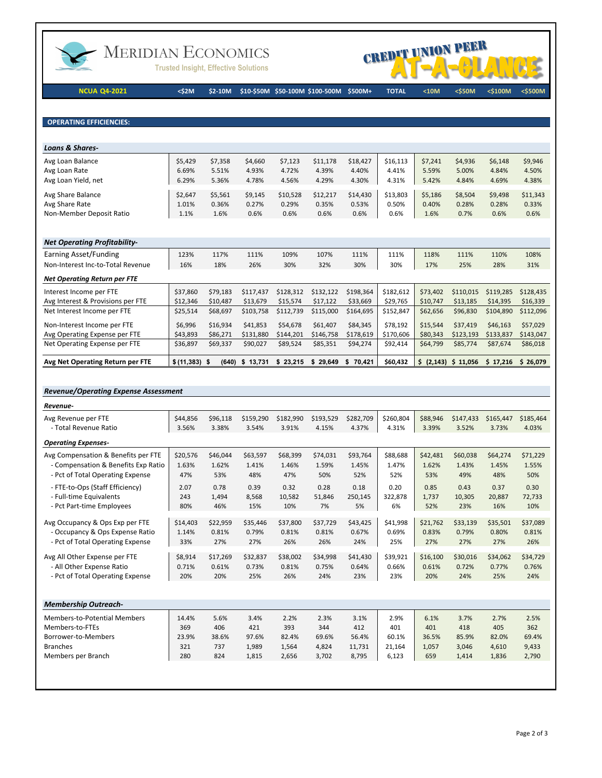

## MERIDIAN ECONOMICS

**Trusted Insight, Effective Solutions** 



**NCUA Q4-2021 <\$2M \$2-10M \$10-\$50M \$50-100M \$100-500M \$500M+ TOTAL <10M <\$50M <\$100M <\$500M**

**OPERATING EFFICIENCIES:** 

| \$5,429  | \$7,358        | \$4,660        | \$7,123        | \$11,178       | \$18,427       | \$16,113       | \$7,241        | \$4,936        | \$6,148        | \$9,946<br>4.50%  |
|----------|----------------|----------------|----------------|----------------|----------------|----------------|----------------|----------------|----------------|-------------------|
| 6.29%    | 5.36%          | 4.78%          | 4.56%          | 4.29%          | 4.30%          | 4.31%          | 5.42%          | 4.84%          | 4.69%          | 4.38%             |
| \$2,647  | \$5,561        | \$9,145        | \$10,528       | \$12,217       | \$14,430       | \$13,803       | \$5,186        | \$8,504        | \$9,498        | \$11,343<br>0.33% |
| 1.1%     | 1.6%           | 0.6%           | 0.6%           | 0.6%           | 0.6%           | 0.6%           | 1.6%           | 0.7%           | 0.6%           | 0.6%              |
|          |                |                |                |                |                |                |                |                |                |                   |
|          |                |                |                |                |                |                |                |                |                |                   |
| 123%     | 117%           | 111%           | 109%           | 107%           | 111%           | 111%           | 118%           | 111%           | 110%           | 108%              |
| 16%      | 18%            | 26%            | 30%            | 32%            | 30%            | 30%            | 17%            | 25%            | 28%            | 31%               |
|          |                |                |                |                |                |                |                |                |                |                   |
| \$37,860 | \$79,183       | \$117,437      | \$128,312      | \$132,122      | \$198,364      | \$182,612      | \$73,402       | \$110,015      | \$119,285      | \$128,435         |
| \$12,346 | \$10,487       | \$13,679       | \$15,574       | \$17,122       | \$33,669       | \$29,765       | \$10,747       | \$13,185       | \$14,395       | \$16,339          |
|          | 6.69%<br>1.01% | 5.51%<br>0.36% | 4.93%<br>0.27% | 4.72%<br>0.29% | 4.39%<br>0.35% | 4.40%<br>0.53% | 4.41%<br>0.50% | 5.59%<br>0.40% | 5.00%<br>0.28% | 4.84%<br>0.28%    |

| Avg Net Operating Return per FTE | $\frac{1}{2}$ (11,383) | (640)    | \$13.731  | 23.215    | 29.649    | 70,421    | \$60,432  | S.       | $(2,143)$ \$ 11,056 | \$17.216  | \$26.079  |
|----------------------------------|------------------------|----------|-----------|-----------|-----------|-----------|-----------|----------|---------------------|-----------|-----------|
| Net Operating Expense per FTE    | \$36.897               | \$69.337 | \$90,027  | \$89.524  | \$85.351  | \$94.274  | \$92.414  | \$64,799 | \$85,774            | \$87.674  | \$86,018  |
| Avg Operating Expense per FTE    | \$43.893               | \$86.271 | \$131.880 | \$144.201 | \$146.758 | \$178.619 | \$170.606 | \$80,343 | \$123.193           | \$133.837 | \$143.047 |
| Non-Interest Income per FTE      | \$6.996                | \$16.934 | \$41.853  | \$54,678  | \$61,407  | \$84.345  | \$78.192  | \$15.544 | \$37,419            | \$46.163  | \$57.029  |
| Net Interest Income per FTE      | \$25.514               | \$68.697 | \$103.758 | \$112.739 | \$115,000 | \$164.695 | \$152,847 | \$62,656 | \$96.830            | \$104,890 | \$112,096 |
|                                  |                        |          |           |           |           |           |           |          |                     |           |           |

### *Revenue/Operating Expense Assessment*

| Avg Revenue per FTE<br>\$44,856<br>\$96,118<br>\$159,290<br>\$182,990<br>\$282,709<br>\$260.804<br>\$88.946<br>\$193,529<br>\$147,433<br>\$165,447<br>- Total Revenue Ratio<br>3.56%<br>3.38%<br>3.54%<br>3.91%<br>4.15%<br>4.37%<br>4.31%<br>3.39%<br>3.52%<br>3.73%<br><b>Operating Expenses-</b><br>Avg Compensation & Benefits per FTE<br>\$88,688<br>\$46,044<br>\$63,597<br>\$68,399<br>\$93,764<br>\$60,038<br>\$20,576<br>\$74,031<br>\$42,481<br>\$64,274<br>- Compensation & Benefits Exp Ratio<br>1.63%<br>1.47%<br>1.62%<br>1.62%<br>1.41%<br>1.46%<br>1.59%<br>1.45%<br>1.43%<br>1.45%<br>- Pct of Total Operating Expense<br>52%<br>49%<br>47%<br>53%<br>48%<br>47%<br>50%<br>52%<br>53%<br>48%<br>- FTE-to-Ops (Staff Efficiency)<br>0.39<br>0.32<br>0.78<br>0.28<br>0.18<br>0.20<br>0.85<br>0.43<br>0.37<br>2.07<br>- Full-time Equivalents<br>243<br>1,494<br>8,568<br>10,582<br>51,846<br>250,145<br>322,878<br>1,737<br>10,305<br>20,887<br>- Pct Part-time Employees<br>80%<br>46%<br>10%<br>7%<br>5%<br>6%<br>23%<br>15%<br>52%<br>16%<br>Avg Occupancy & Ops Exp per FTE<br>\$43,425<br>\$14,403<br>\$22,959<br>\$35,446<br>\$37,800<br>\$37,729<br>\$41,998<br>\$21,762<br>\$33,139<br>\$35,501<br>- Occupancy & Ops Expense Ratio<br>1.14%<br>0.81%<br>0.79%<br>0.81%<br>0.81%<br>0.67%<br>0.69%<br>0.83%<br>0.79%<br>0.80%<br>- Pct of Total Operating Expense<br>33%<br>27%<br>27%<br>26%<br>25%<br>27%<br>27%<br>26%<br>24%<br>27%<br>\$39,921<br>Avg All Other Expense per FTE<br>\$8,914<br>\$17,269<br>\$38,002<br>\$41,430<br>\$16,100<br>\$30,016<br>\$32,837<br>\$34,998<br>\$34,062<br>- All Other Expense Ratio<br>0.71%<br>0.61%<br>0.73%<br>0.81%<br>0.64%<br>0.66%<br>0.61%<br>0.76%<br>0.75%<br>0.72%<br>0.77%<br>- Pct of Total Operating Expense<br>20%<br>20%<br>25%<br>26%<br>24%<br>23%<br>23%<br>20%<br>24%<br>24%<br>25%<br><b>Membership Outreach-</b><br>Members-to-Potential Members<br>5.6%<br>3.4%<br>2.2%<br>3.1%<br>2.9%<br>3.7%<br>14.4%<br>2.3%<br>6.1%<br>2.7%<br>Members-to-FTEs<br>406<br>421<br>393<br>344<br>412<br>418<br>369<br>401<br>401<br>405<br>Borrower-to-Members<br>23.9%<br>38.6%<br>97.6%<br>82.4%<br>69.6%<br>56.4%<br>60.1%<br>36.5%<br>85.9%<br>82.0%<br><b>Branches</b><br>321<br>737<br>1,989<br>1,564<br>4,824<br>11,731<br>21,164<br>1,057<br>3.046<br>4.610<br>Members per Branch<br>280<br>824<br>1,815<br>8,795<br>6,123<br>659<br>2,656<br>3,702<br>1,414<br>1,836 | Revenue- |  |  |  |  |  |           |
|-------------------------------------------------------------------------------------------------------------------------------------------------------------------------------------------------------------------------------------------------------------------------------------------------------------------------------------------------------------------------------------------------------------------------------------------------------------------------------------------------------------------------------------------------------------------------------------------------------------------------------------------------------------------------------------------------------------------------------------------------------------------------------------------------------------------------------------------------------------------------------------------------------------------------------------------------------------------------------------------------------------------------------------------------------------------------------------------------------------------------------------------------------------------------------------------------------------------------------------------------------------------------------------------------------------------------------------------------------------------------------------------------------------------------------------------------------------------------------------------------------------------------------------------------------------------------------------------------------------------------------------------------------------------------------------------------------------------------------------------------------------------------------------------------------------------------------------------------------------------------------------------------------------------------------------------------------------------------------------------------------------------------------------------------------------------------------------------------------------------------------------------------------------------------------------------------------------------------------------------------------------------------------------------------------------------------------------------------------------------------------------------------------------------------------------------------------|----------|--|--|--|--|--|-----------|
|                                                                                                                                                                                                                                                                                                                                                                                                                                                                                                                                                                                                                                                                                                                                                                                                                                                                                                                                                                                                                                                                                                                                                                                                                                                                                                                                                                                                                                                                                                                                                                                                                                                                                                                                                                                                                                                                                                                                                                                                                                                                                                                                                                                                                                                                                                                                                                                                                                                       |          |  |  |  |  |  | \$185,464 |
|                                                                                                                                                                                                                                                                                                                                                                                                                                                                                                                                                                                                                                                                                                                                                                                                                                                                                                                                                                                                                                                                                                                                                                                                                                                                                                                                                                                                                                                                                                                                                                                                                                                                                                                                                                                                                                                                                                                                                                                                                                                                                                                                                                                                                                                                                                                                                                                                                                                       |          |  |  |  |  |  | 4.03%     |
|                                                                                                                                                                                                                                                                                                                                                                                                                                                                                                                                                                                                                                                                                                                                                                                                                                                                                                                                                                                                                                                                                                                                                                                                                                                                                                                                                                                                                                                                                                                                                                                                                                                                                                                                                                                                                                                                                                                                                                                                                                                                                                                                                                                                                                                                                                                                                                                                                                                       |          |  |  |  |  |  |           |
|                                                                                                                                                                                                                                                                                                                                                                                                                                                                                                                                                                                                                                                                                                                                                                                                                                                                                                                                                                                                                                                                                                                                                                                                                                                                                                                                                                                                                                                                                                                                                                                                                                                                                                                                                                                                                                                                                                                                                                                                                                                                                                                                                                                                                                                                                                                                                                                                                                                       |          |  |  |  |  |  | \$71,229  |
|                                                                                                                                                                                                                                                                                                                                                                                                                                                                                                                                                                                                                                                                                                                                                                                                                                                                                                                                                                                                                                                                                                                                                                                                                                                                                                                                                                                                                                                                                                                                                                                                                                                                                                                                                                                                                                                                                                                                                                                                                                                                                                                                                                                                                                                                                                                                                                                                                                                       |          |  |  |  |  |  | 1.55%     |
|                                                                                                                                                                                                                                                                                                                                                                                                                                                                                                                                                                                                                                                                                                                                                                                                                                                                                                                                                                                                                                                                                                                                                                                                                                                                                                                                                                                                                                                                                                                                                                                                                                                                                                                                                                                                                                                                                                                                                                                                                                                                                                                                                                                                                                                                                                                                                                                                                                                       |          |  |  |  |  |  | 50%       |
|                                                                                                                                                                                                                                                                                                                                                                                                                                                                                                                                                                                                                                                                                                                                                                                                                                                                                                                                                                                                                                                                                                                                                                                                                                                                                                                                                                                                                                                                                                                                                                                                                                                                                                                                                                                                                                                                                                                                                                                                                                                                                                                                                                                                                                                                                                                                                                                                                                                       |          |  |  |  |  |  | 0.30      |
|                                                                                                                                                                                                                                                                                                                                                                                                                                                                                                                                                                                                                                                                                                                                                                                                                                                                                                                                                                                                                                                                                                                                                                                                                                                                                                                                                                                                                                                                                                                                                                                                                                                                                                                                                                                                                                                                                                                                                                                                                                                                                                                                                                                                                                                                                                                                                                                                                                                       |          |  |  |  |  |  | 72,733    |
|                                                                                                                                                                                                                                                                                                                                                                                                                                                                                                                                                                                                                                                                                                                                                                                                                                                                                                                                                                                                                                                                                                                                                                                                                                                                                                                                                                                                                                                                                                                                                                                                                                                                                                                                                                                                                                                                                                                                                                                                                                                                                                                                                                                                                                                                                                                                                                                                                                                       |          |  |  |  |  |  | 10%       |
|                                                                                                                                                                                                                                                                                                                                                                                                                                                                                                                                                                                                                                                                                                                                                                                                                                                                                                                                                                                                                                                                                                                                                                                                                                                                                                                                                                                                                                                                                                                                                                                                                                                                                                                                                                                                                                                                                                                                                                                                                                                                                                                                                                                                                                                                                                                                                                                                                                                       |          |  |  |  |  |  | \$37,089  |
|                                                                                                                                                                                                                                                                                                                                                                                                                                                                                                                                                                                                                                                                                                                                                                                                                                                                                                                                                                                                                                                                                                                                                                                                                                                                                                                                                                                                                                                                                                                                                                                                                                                                                                                                                                                                                                                                                                                                                                                                                                                                                                                                                                                                                                                                                                                                                                                                                                                       |          |  |  |  |  |  | 0.81%     |
|                                                                                                                                                                                                                                                                                                                                                                                                                                                                                                                                                                                                                                                                                                                                                                                                                                                                                                                                                                                                                                                                                                                                                                                                                                                                                                                                                                                                                                                                                                                                                                                                                                                                                                                                                                                                                                                                                                                                                                                                                                                                                                                                                                                                                                                                                                                                                                                                                                                       |          |  |  |  |  |  | 26%       |
|                                                                                                                                                                                                                                                                                                                                                                                                                                                                                                                                                                                                                                                                                                                                                                                                                                                                                                                                                                                                                                                                                                                                                                                                                                                                                                                                                                                                                                                                                                                                                                                                                                                                                                                                                                                                                                                                                                                                                                                                                                                                                                                                                                                                                                                                                                                                                                                                                                                       |          |  |  |  |  |  |           |
|                                                                                                                                                                                                                                                                                                                                                                                                                                                                                                                                                                                                                                                                                                                                                                                                                                                                                                                                                                                                                                                                                                                                                                                                                                                                                                                                                                                                                                                                                                                                                                                                                                                                                                                                                                                                                                                                                                                                                                                                                                                                                                                                                                                                                                                                                                                                                                                                                                                       |          |  |  |  |  |  | \$34,729  |
|                                                                                                                                                                                                                                                                                                                                                                                                                                                                                                                                                                                                                                                                                                                                                                                                                                                                                                                                                                                                                                                                                                                                                                                                                                                                                                                                                                                                                                                                                                                                                                                                                                                                                                                                                                                                                                                                                                                                                                                                                                                                                                                                                                                                                                                                                                                                                                                                                                                       |          |  |  |  |  |  |           |
|                                                                                                                                                                                                                                                                                                                                                                                                                                                                                                                                                                                                                                                                                                                                                                                                                                                                                                                                                                                                                                                                                                                                                                                                                                                                                                                                                                                                                                                                                                                                                                                                                                                                                                                                                                                                                                                                                                                                                                                                                                                                                                                                                                                                                                                                                                                                                                                                                                                       |          |  |  |  |  |  |           |
|                                                                                                                                                                                                                                                                                                                                                                                                                                                                                                                                                                                                                                                                                                                                                                                                                                                                                                                                                                                                                                                                                                                                                                                                                                                                                                                                                                                                                                                                                                                                                                                                                                                                                                                                                                                                                                                                                                                                                                                                                                                                                                                                                                                                                                                                                                                                                                                                                                                       |          |  |  |  |  |  |           |
|                                                                                                                                                                                                                                                                                                                                                                                                                                                                                                                                                                                                                                                                                                                                                                                                                                                                                                                                                                                                                                                                                                                                                                                                                                                                                                                                                                                                                                                                                                                                                                                                                                                                                                                                                                                                                                                                                                                                                                                                                                                                                                                                                                                                                                                                                                                                                                                                                                                       |          |  |  |  |  |  | 2.5%      |
|                                                                                                                                                                                                                                                                                                                                                                                                                                                                                                                                                                                                                                                                                                                                                                                                                                                                                                                                                                                                                                                                                                                                                                                                                                                                                                                                                                                                                                                                                                                                                                                                                                                                                                                                                                                                                                                                                                                                                                                                                                                                                                                                                                                                                                                                                                                                                                                                                                                       |          |  |  |  |  |  | 362       |
|                                                                                                                                                                                                                                                                                                                                                                                                                                                                                                                                                                                                                                                                                                                                                                                                                                                                                                                                                                                                                                                                                                                                                                                                                                                                                                                                                                                                                                                                                                                                                                                                                                                                                                                                                                                                                                                                                                                                                                                                                                                                                                                                                                                                                                                                                                                                                                                                                                                       |          |  |  |  |  |  | 69.4%     |
|                                                                                                                                                                                                                                                                                                                                                                                                                                                                                                                                                                                                                                                                                                                                                                                                                                                                                                                                                                                                                                                                                                                                                                                                                                                                                                                                                                                                                                                                                                                                                                                                                                                                                                                                                                                                                                                                                                                                                                                                                                                                                                                                                                                                                                                                                                                                                                                                                                                       |          |  |  |  |  |  | 9,433     |
|                                                                                                                                                                                                                                                                                                                                                                                                                                                                                                                                                                                                                                                                                                                                                                                                                                                                                                                                                                                                                                                                                                                                                                                                                                                                                                                                                                                                                                                                                                                                                                                                                                                                                                                                                                                                                                                                                                                                                                                                                                                                                                                                                                                                                                                                                                                                                                                                                                                       |          |  |  |  |  |  | 2,790     |
|                                                                                                                                                                                                                                                                                                                                                                                                                                                                                                                                                                                                                                                                                                                                                                                                                                                                                                                                                                                                                                                                                                                                                                                                                                                                                                                                                                                                                                                                                                                                                                                                                                                                                                                                                                                                                                                                                                                                                                                                                                                                                                                                                                                                                                                                                                                                                                                                                                                       |          |  |  |  |  |  |           |